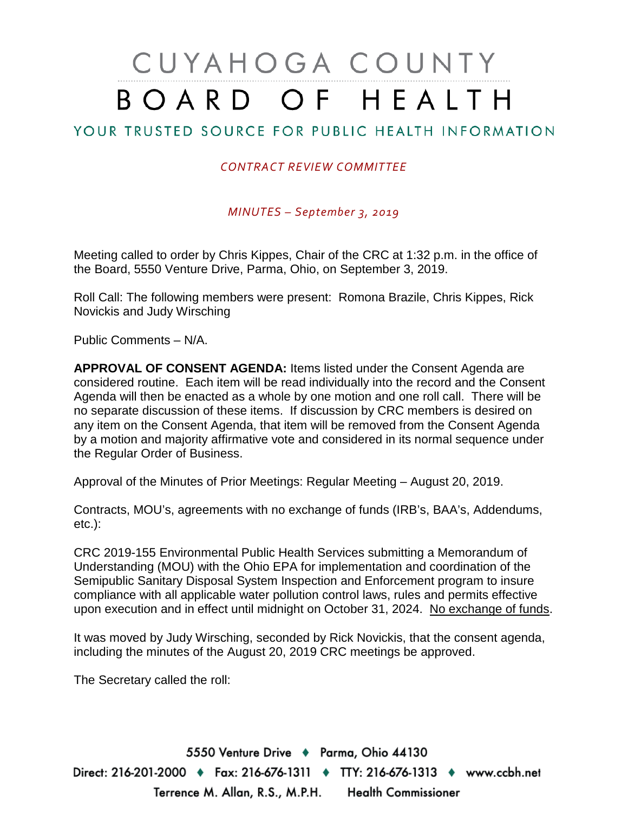# CUYAHOGA COUNTY BOARD OF HEALTH

## YOUR TRUSTED SOURCE FOR PUBLIC HEALTH INFORMATION

#### *CONTRACT REVIEW COMMITTEE*

*MINUTES – September 3, 2019*

Meeting called to order by Chris Kippes, Chair of the CRC at 1:32 p.m. in the office of the Board, 5550 Venture Drive, Parma, Ohio, on September 3, 2019.

Roll Call: The following members were present: Romona Brazile, Chris Kippes, Rick Novickis and Judy Wirsching

Public Comments – N/A.

**APPROVAL OF CONSENT AGENDA:** Items listed under the Consent Agenda are considered routine. Each item will be read individually into the record and the Consent Agenda will then be enacted as a whole by one motion and one roll call. There will be no separate discussion of these items. If discussion by CRC members is desired on any item on the Consent Agenda, that item will be removed from the Consent Agenda by a motion and majority affirmative vote and considered in its normal sequence under the Regular Order of Business.

Approval of the Minutes of Prior Meetings: Regular Meeting – August 20, 2019.

Contracts, MOU's, agreements with no exchange of funds (IRB's, BAA's, Addendums, etc.):

CRC 2019-155 Environmental Public Health Services submitting a Memorandum of Understanding (MOU) with the Ohio EPA for implementation and coordination of the Semipublic Sanitary Disposal System Inspection and Enforcement program to insure compliance with all applicable water pollution control laws, rules and permits effective upon execution and in effect until midnight on October 31, 2024. No exchange of funds.

It was moved by Judy Wirsching, seconded by Rick Novickis, that the consent agenda, including the minutes of the August 20, 2019 CRC meetings be approved.

The Secretary called the roll:

5550 Venture Drive + Parma, Ohio 44130 Direct: 216-201-2000 ♦ Fax: 216-676-1311 ♦ TTY: 216-676-1313 ♦ www.ccbh.net Terrence M. Allan, R.S., M.P.H. Health Commissioner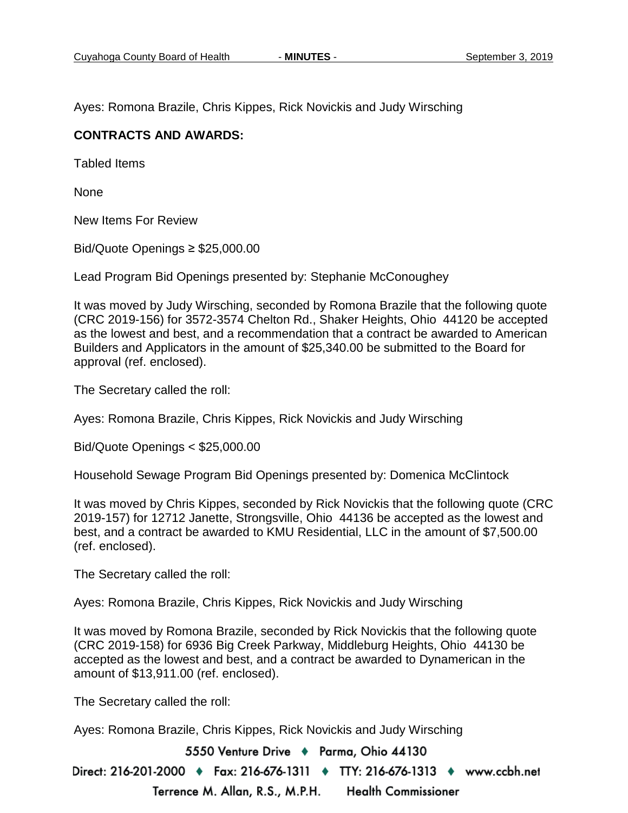Ayes: Romona Brazile, Chris Kippes, Rick Novickis and Judy Wirsching

#### **CONTRACTS AND AWARDS:**

Tabled Items

None

New Items For Review

Bid/Quote Openings ≥ \$25,000.00

Lead Program Bid Openings presented by: Stephanie McConoughey

It was moved by Judy Wirsching, seconded by Romona Brazile that the following quote (CRC 2019-156) for 3572-3574 Chelton Rd., Shaker Heights, Ohio 44120 be accepted as the lowest and best, and a recommendation that a contract be awarded to American Builders and Applicators in the amount of \$25,340.00 be submitted to the Board for approval (ref. enclosed).

The Secretary called the roll:

Ayes: Romona Brazile, Chris Kippes, Rick Novickis and Judy Wirsching

Bid/Quote Openings < \$25,000.00

Household Sewage Program Bid Openings presented by: Domenica McClintock

It was moved by Chris Kippes, seconded by Rick Novickis that the following quote (CRC 2019-157) for 12712 Janette, Strongsville, Ohio 44136 be accepted as the lowest and best, and a contract be awarded to KMU Residential, LLC in the amount of \$7,500.00 (ref. enclosed).

The Secretary called the roll:

Ayes: Romona Brazile, Chris Kippes, Rick Novickis and Judy Wirsching

It was moved by Romona Brazile, seconded by Rick Novickis that the following quote (CRC 2019-158) for 6936 Big Creek Parkway, Middleburg Heights, Ohio 44130 be accepted as the lowest and best, and a contract be awarded to Dynamerican in the amount of \$13,911.00 (ref. enclosed).

The Secretary called the roll:

Ayes: Romona Brazile, Chris Kippes, Rick Novickis and Judy Wirsching

5550 Venture Drive + Parma, Ohio 44130

Direct: 216-201-2000 ♦ Fax: 216-676-1311 ♦ TTY: 216-676-1313 ♦ www.ccbh.net Terrence M. Allan, R.S., M.P.H. **Health Commissioner**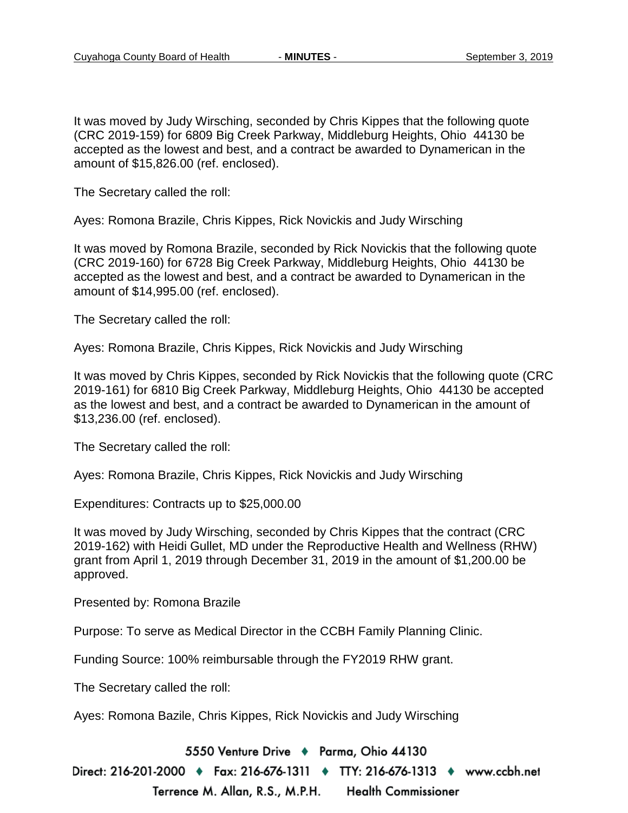It was moved by Judy Wirsching, seconded by Chris Kippes that the following quote (CRC 2019-159) for 6809 Big Creek Parkway, Middleburg Heights, Ohio 44130 be accepted as the lowest and best, and a contract be awarded to Dynamerican in the amount of \$15,826.00 (ref. enclosed).

The Secretary called the roll:

Ayes: Romona Brazile, Chris Kippes, Rick Novickis and Judy Wirsching

It was moved by Romona Brazile, seconded by Rick Novickis that the following quote (CRC 2019-160) for 6728 Big Creek Parkway, Middleburg Heights, Ohio 44130 be accepted as the lowest and best, and a contract be awarded to Dynamerican in the amount of \$14,995.00 (ref. enclosed).

The Secretary called the roll:

Ayes: Romona Brazile, Chris Kippes, Rick Novickis and Judy Wirsching

It was moved by Chris Kippes, seconded by Rick Novickis that the following quote (CRC 2019-161) for 6810 Big Creek Parkway, Middleburg Heights, Ohio 44130 be accepted as the lowest and best, and a contract be awarded to Dynamerican in the amount of \$13,236.00 (ref. enclosed).

The Secretary called the roll:

Ayes: Romona Brazile, Chris Kippes, Rick Novickis and Judy Wirsching

Expenditures: Contracts up to \$25,000.00

It was moved by Judy Wirsching, seconded by Chris Kippes that the contract (CRC 2019-162) with Heidi Gullet, MD under the Reproductive Health and Wellness (RHW) grant from April 1, 2019 through December 31, 2019 in the amount of \$1,200.00 be approved.

Presented by: Romona Brazile

Purpose: To serve as Medical Director in the CCBH Family Planning Clinic.

Funding Source: 100% reimbursable through the FY2019 RHW grant.

The Secretary called the roll:

Ayes: Romona Bazile, Chris Kippes, Rick Novickis and Judy Wirsching

5550 Venture Drive + Parma, Ohio 44130

Direct: 216-201-2000 ♦ Fax: 216-676-1311 ♦ TTY: 216-676-1313 ♦ www.ccbh.net Terrence M. Allan, R.S., M.P.H. **Health Commissioner**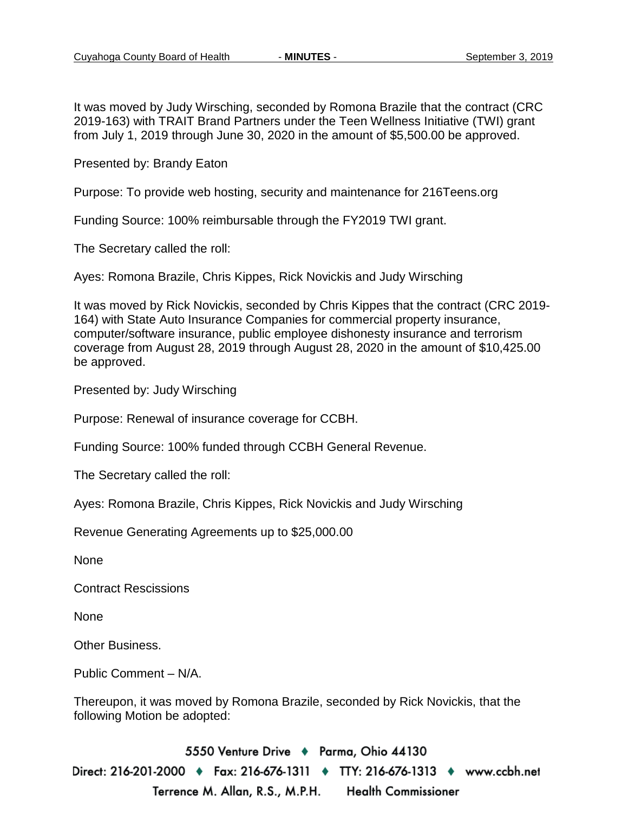It was moved by Judy Wirsching, seconded by Romona Brazile that the contract (CRC 2019-163) with TRAIT Brand Partners under the Teen Wellness Initiative (TWI) grant from July 1, 2019 through June 30, 2020 in the amount of \$5,500.00 be approved.

Presented by: Brandy Eaton

Purpose: To provide web hosting, security and maintenance for 216Teens.org

Funding Source: 100% reimbursable through the FY2019 TWI grant.

The Secretary called the roll:

Ayes: Romona Brazile, Chris Kippes, Rick Novickis and Judy Wirsching

It was moved by Rick Novickis, seconded by Chris Kippes that the contract (CRC 2019- 164) with State Auto Insurance Companies for commercial property insurance, computer/software insurance, public employee dishonesty insurance and terrorism coverage from August 28, 2019 through August 28, 2020 in the amount of \$10,425.00 be approved.

Presented by: Judy Wirsching

Purpose: Renewal of insurance coverage for CCBH.

Funding Source: 100% funded through CCBH General Revenue.

The Secretary called the roll:

Ayes: Romona Brazile, Chris Kippes, Rick Novickis and Judy Wirsching

Revenue Generating Agreements up to \$25,000.00

None

Contract Rescissions

None

Other Business.

Public Comment – N/A.

Thereupon, it was moved by Romona Brazile, seconded by Rick Novickis, that the following Motion be adopted:

5550 Venture Drive + Parma, Ohio 44130 Direct: 216-201-2000 ♦ Fax: 216-676-1311 ♦ TTY: 216-676-1313 ♦ www.ccbh.net Terrence M. Allan, R.S., M.P.H. **Health Commissioner**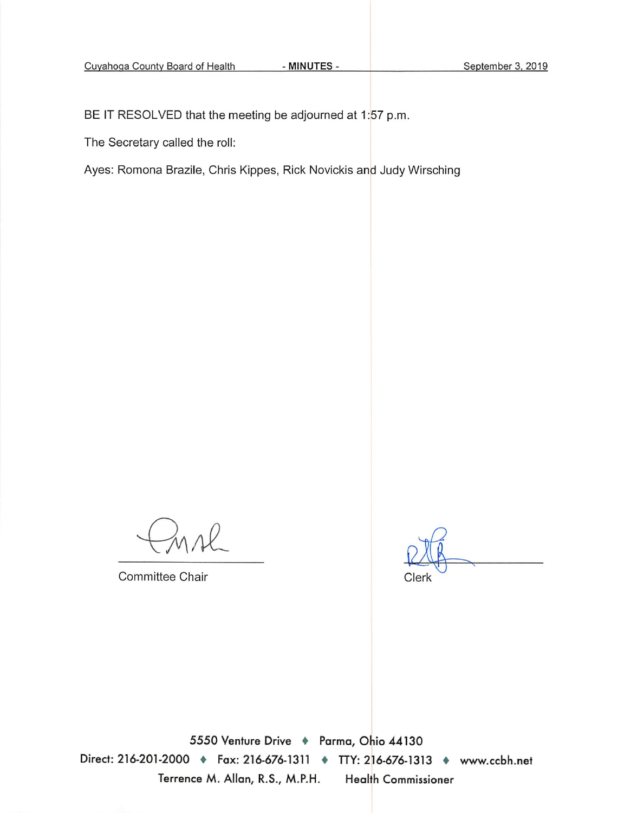BE IT RESOLVED that the meeting be adjourned at 1:57 p.m.

The Secretary called the roll:

Ayes: Romona Brazile, Chris Kippes, Rick Novickis and Judy Wirsching

- MINUTES -

Committee Chair

Clerk

5550 Venture Drive + Parma, Ohio 44130 Direct: 216-201-2000 • Fax: 216-676-1311 • TTY: 216-676-1313 • www.ccbh.net Terrence M. Allan, R.S., M.P.H. **Health Commissioner**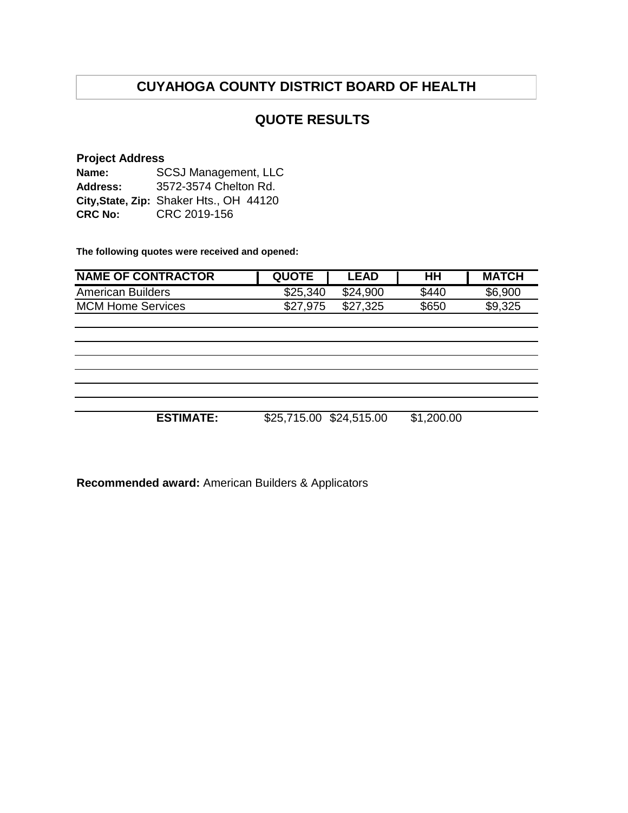### **QUOTE RESULTS**

#### **Project Address**

| Name:          | <b>SCSJ Management, LLC</b>             |  |  |  |  |
|----------------|-----------------------------------------|--|--|--|--|
| Address:       | 3572-3574 Chelton Rd.                   |  |  |  |  |
|                | City, State, Zip: Shaker Hts., OH 44120 |  |  |  |  |
| <b>CRC No:</b> | CRC 2019-156                            |  |  |  |  |

**The following quotes were received and opened:**

| <b>NAME OF CONTRACTOR</b> | <b>QUOTE</b>            | <b>LEAD</b> | HН         | <b>MATCH</b> |
|---------------------------|-------------------------|-------------|------------|--------------|
| <b>American Builders</b>  | \$25,340                | \$24,900    | \$440      | \$6,900      |
| <b>MCM Home Services</b>  | \$27,975                | \$27,325    | \$650      | \$9,325      |
|                           |                         |             |            |              |
|                           |                         |             |            |              |
|                           |                         |             |            |              |
|                           |                         |             |            |              |
|                           |                         |             |            |              |
|                           |                         |             |            |              |
|                           |                         |             |            |              |
| <b>ESTIMATE:</b>          | \$25,715.00 \$24,515.00 |             | \$1,200.00 |              |

**Recommended award:** American Builders & Applicators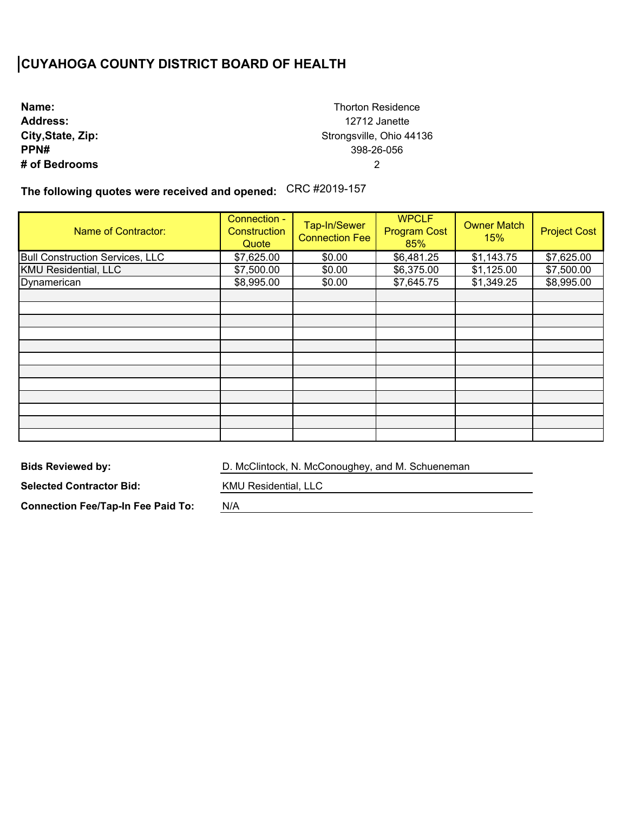**Name: Address: City,State, Zip: PPN# # of Bedrooms**

Thorton Residence 12712 Janette Strongsville, Ohio 44136 398-26-056 2

**The following quotes were received and opened:**  CRC #2019-157

| <b>Name of Contractor:</b>             | Connection -<br>Construction<br>Quote | Tap-In/Sewer<br><b>Connection Fee</b> | <b>WPCLF</b><br><b>Program Cost</b><br>85% | <b>Owner Match</b><br>15% | <b>Project Cost</b> |
|----------------------------------------|---------------------------------------|---------------------------------------|--------------------------------------------|---------------------------|---------------------|
| <b>Bull Construction Services, LLC</b> | \$7,625.00                            | \$0.00                                | \$6,481.25                                 | \$1,143.75                | \$7,625.00          |
| <b>KMU Residential, LLC</b>            | \$7,500.00                            | \$0.00                                | \$6,375.00                                 | \$1,125.00                | \$7,500.00          |
| Dynamerican                            | \$8,995.00                            | \$0.00                                | \$7,645.75                                 | \$1,349.25                | \$8,995.00          |
|                                        |                                       |                                       |                                            |                           |                     |
|                                        |                                       |                                       |                                            |                           |                     |
|                                        |                                       |                                       |                                            |                           |                     |
|                                        |                                       |                                       |                                            |                           |                     |
|                                        |                                       |                                       |                                            |                           |                     |
|                                        |                                       |                                       |                                            |                           |                     |
|                                        |                                       |                                       |                                            |                           |                     |
|                                        |                                       |                                       |                                            |                           |                     |
|                                        |                                       |                                       |                                            |                           |                     |
|                                        |                                       |                                       |                                            |                           |                     |
|                                        |                                       |                                       |                                            |                           |                     |
|                                        |                                       |                                       |                                            |                           |                     |

**Bids Reviewed by:** 

D. McClintock, N. McConoughey, and M. Schueneman

**Selected Contractor Bid:** 

**Connection Fee/Tap-In Fee Paid To:** 

KMU Residential, LLC

N/A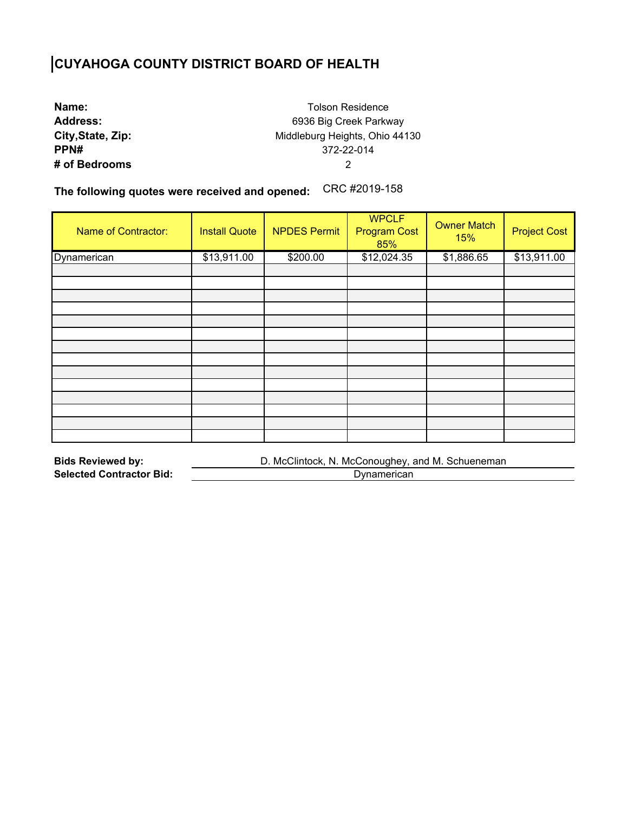| Name:             |
|-------------------|
| <b>Address:</b>   |
| City, State, Zip: |
| PPN#              |
| # of Bedrooms     |

Tolson Residence 6936 Big Creek Parkway Middleburg Heights, Ohio 44130 372-22-014 2

**The following quotes were received and opened:**  CRC #2019-158

| <b>Name of Contractor:</b> | <b>Install Quote</b> | <b>NPDES Permit</b> | <b>WPCLF</b><br><b>Program Cost</b><br>85% | <b>Owner Match</b><br>15% | <b>Project Cost</b> |
|----------------------------|----------------------|---------------------|--------------------------------------------|---------------------------|---------------------|
| Dynamerican                | \$13,911.00          | \$200.00            | \$12,024.35                                | \$1,886.65                | \$13,911.00         |
|                            |                      |                     |                                            |                           |                     |
|                            |                      |                     |                                            |                           |                     |
|                            |                      |                     |                                            |                           |                     |
|                            |                      |                     |                                            |                           |                     |
|                            |                      |                     |                                            |                           |                     |
|                            |                      |                     |                                            |                           |                     |
|                            |                      |                     |                                            |                           |                     |
|                            |                      |                     |                                            |                           |                     |
|                            |                      |                     |                                            |                           |                     |
|                            |                      |                     |                                            |                           |                     |
|                            |                      |                     |                                            |                           |                     |
|                            |                      |                     |                                            |                           |                     |
|                            |                      |                     |                                            |                           |                     |
|                            |                      |                     |                                            |                           |                     |

| <b>Bids Reviewed by:</b>        | D. McClintock, N. McConoughey, and M. Schueneman |
|---------------------------------|--------------------------------------------------|
| <b>Selected Contractor Bid:</b> | Dynamerican                                      |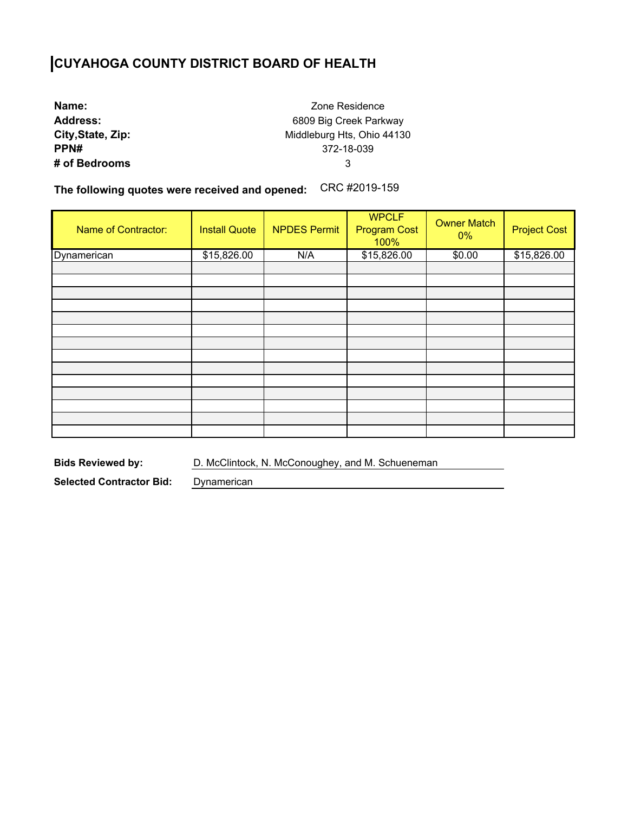**Name: Address: City,State, Zip: PPN# # of Bedrooms**

Zone Residence 6809 Big Creek Parkway Middleburg Hts, Ohio 44130 372-18-039 3

**The following quotes were received and opened:**  CRC #2019-159

| Name of Contractor: | <b>Install Quote</b> | <b>NPDES Permit</b> | <b>WPCLF</b><br><b>Program Cost</b><br>100% | <b>Owner Match</b><br>$0\%$ | <b>Project Cost</b> |
|---------------------|----------------------|---------------------|---------------------------------------------|-----------------------------|---------------------|
| Dynamerican         | \$15,826.00          | N/A                 | \$15,826.00                                 | \$0.00                      | \$15,826.00         |
|                     |                      |                     |                                             |                             |                     |
|                     |                      |                     |                                             |                             |                     |
|                     |                      |                     |                                             |                             |                     |
|                     |                      |                     |                                             |                             |                     |
|                     |                      |                     |                                             |                             |                     |
|                     |                      |                     |                                             |                             |                     |
|                     |                      |                     |                                             |                             |                     |
|                     |                      |                     |                                             |                             |                     |
|                     |                      |                     |                                             |                             |                     |
|                     |                      |                     |                                             |                             |                     |
|                     |                      |                     |                                             |                             |                     |
|                     |                      |                     |                                             |                             |                     |
|                     |                      |                     |                                             |                             |                     |
|                     |                      |                     |                                             |                             |                     |

**Bids Reviewed by:** D. McClintock, N. McConoughey, and M. Schueneman

**Selected Contractor Bid:** Dynamerican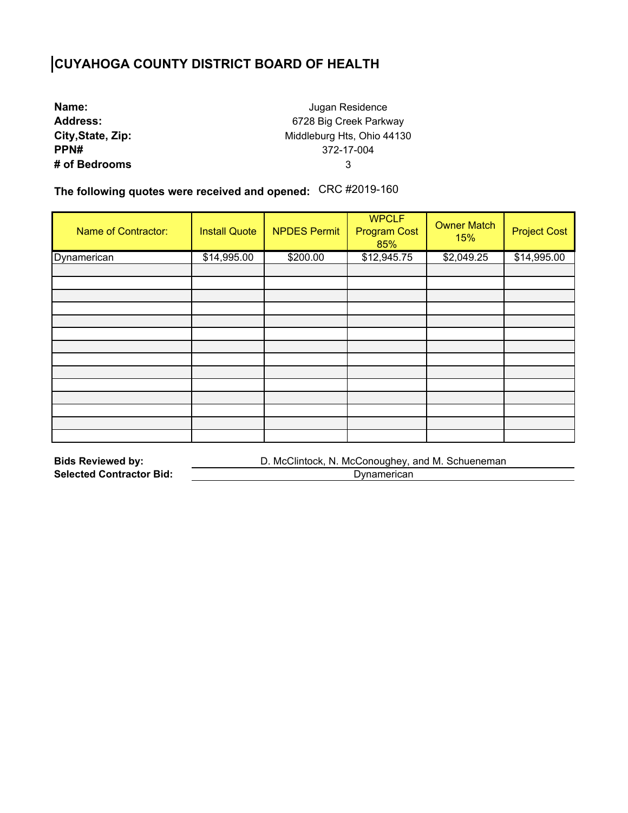| Name:             |
|-------------------|
| <b>Address:</b>   |
| City, State, Zip: |
| PPN#              |
| # of Bedrooms     |

Jugan Residence 6728 Big Creek Parkway Middleburg Hts, Ohio 44130 372-17-004 3

**The following quotes were received and opened:**  CRC #2019-160

| <b>Name of Contractor:</b> | <b>Install Quote</b> | <b>NPDES Permit</b> | <b>WPCLF</b><br><b>Program Cost</b><br>85% | <b>Owner Match</b><br>15% | <b>Project Cost</b> |
|----------------------------|----------------------|---------------------|--------------------------------------------|---------------------------|---------------------|
| Dynamerican                | \$14,995.00          | \$200.00            | \$12,945.75                                | \$2,049.25                | \$14,995.00         |
|                            |                      |                     |                                            |                           |                     |
|                            |                      |                     |                                            |                           |                     |
|                            |                      |                     |                                            |                           |                     |
|                            |                      |                     |                                            |                           |                     |
|                            |                      |                     |                                            |                           |                     |
|                            |                      |                     |                                            |                           |                     |
|                            |                      |                     |                                            |                           |                     |
|                            |                      |                     |                                            |                           |                     |
|                            |                      |                     |                                            |                           |                     |
|                            |                      |                     |                                            |                           |                     |
|                            |                      |                     |                                            |                           |                     |
|                            |                      |                     |                                            |                           |                     |
|                            |                      |                     |                                            |                           |                     |
|                            |                      |                     |                                            |                           |                     |

| <b>Bids Reviewed by:</b>        | D. McClintock, N. McConoughey, and M. Schueneman |  |  |  |  |
|---------------------------------|--------------------------------------------------|--|--|--|--|
| <b>Selected Contractor Bid:</b> | Dynamerican                                      |  |  |  |  |